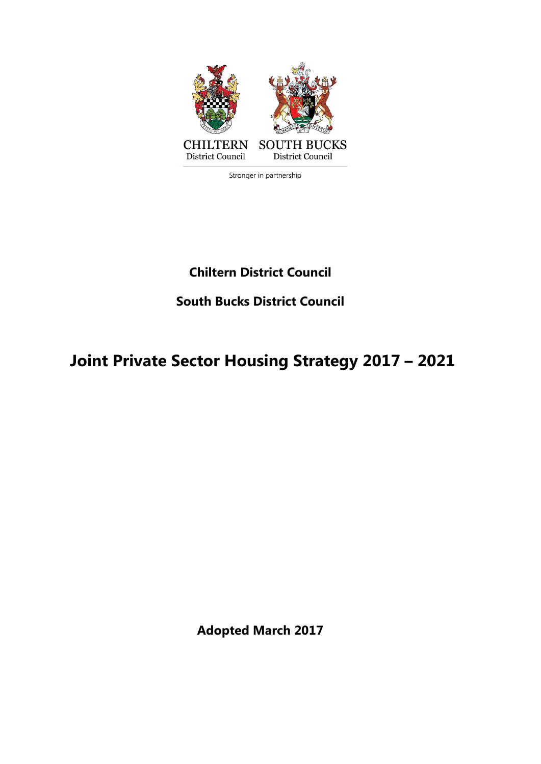

Stronger in partnership

# **Chiltern District Council**

**South Bucks District Council**

# **Joint Private Sector Housing Strategy 2017 – 2021**

**Adopted March 2017**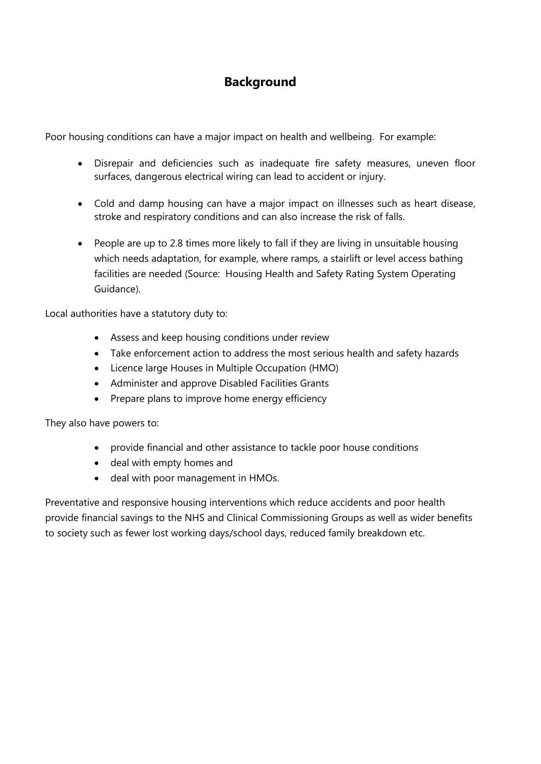## **Background**

Poor housing conditions can have a major impact on health and wellbeing. For example:

- Disrepair and deficiencies such as inadequate fire safety measures, uneven floor surfaces, dangerous electrical wiring can lead to accident or injury.
- Cold and damp housing can have a major impact on illnesses such as heart disease, stroke and respiratory conditions and can also increase the risk of falls.
- People are up to 2.8 times more likely to fall if they are living in unsuitable housing which needs adaptation, for example, where ramps, a stairlift or level access bathing facilities are needed (Source: Housing Health and Safety Rating System Operating Guidance).

Local authorities have a statutory duty to:

- Assess and keep housing conditions under review
- Take enforcement action to address the most serious health and safety hazards
- Licence large Houses in Multiple Occupation (HMO)
- Administer and approve Disabled Facilities Grants
- Prepare plans to improve home energy efficiency

They also have powers to:

- provide financial and other assistance to tackle poor house conditions
- deal with empty homes and
- deal with poor management in HMOs.

Preventative and responsive housing interventions which reduce accidents and poor health provide financial savings to the NHS and Clinical Commissioning Groups as well as wider benefits to society such as fewer lost working days/school days, reduced family breakdown etc.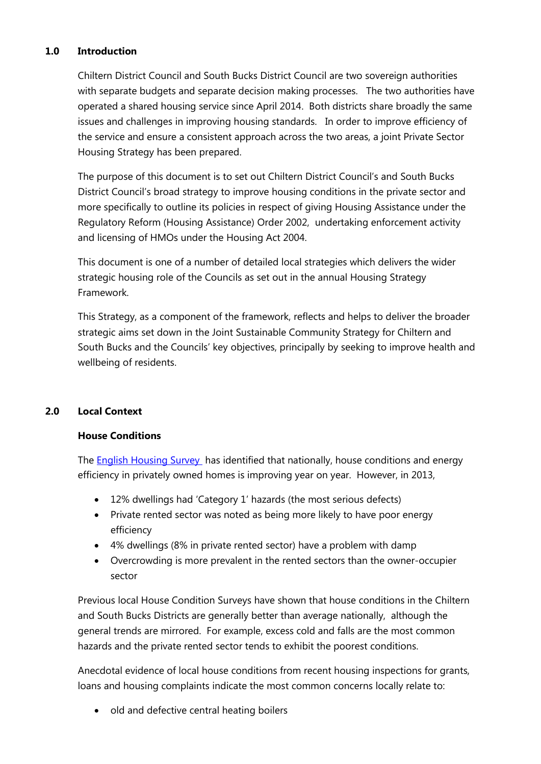#### **1.0 Introduction**

Chiltern District Council and South Bucks District Council are two sovereign authorities with separate budgets and separate decision making processes. The two authorities have operated a shared housing service since April 2014. Both districts share broadly the same issues and challenges in improving housing standards. In order to improve efficiency of the service and ensure a consistent approach across the two areas, a joint Private Sector Housing Strategy has been prepared.

The purpose of this document is to set out Chiltern District Council's and South Bucks District Council's broad strategy to improve housing conditions in the private sector and more specifically to outline its policies in respect of giving Housing Assistance under the Regulatory Reform (Housing Assistance) Order 2002, undertaking enforcement activity and licensing of HMOs under the Housing Act 2004.

This document is one of a number of detailed local strategies which delivers the wider strategic housing role of the Councils as set out in the annual Housing Strategy Framework.

This Strategy, as a component of the framework, reflects and helps to deliver the broader strategic aims set down in the Joint Sustainable Community Strategy for Chiltern and South Bucks and the Councils' key objectives, principally by seeking to improve health and wellbeing of residents.

#### **2.0 Local Context**

#### **House Conditions**

The **English Housing Survey** has identified that nationally, house conditions and energy efficiency in privately owned homes is improving year on year. However, in 2013,

- 12% dwellings had 'Category 1' hazards (the most serious defects)
- Private rented sector was noted as being more likely to have poor energy efficiency
- 4% dwellings (8% in private rented sector) have a problem with damp
- Overcrowding is more prevalent in the rented sectors than the owner-occupier sector

Previous local House Condition Surveys have shown that house conditions in the Chiltern and South Bucks Districts are generally better than average nationally, although the general trends are mirrored. For example, excess cold and falls are the most common hazards and the private rented sector tends to exhibit the poorest conditions.

Anecdotal evidence of local house conditions from recent housing inspections for grants, loans and housing complaints indicate the most common concerns locally relate to:

• old and defective central heating boilers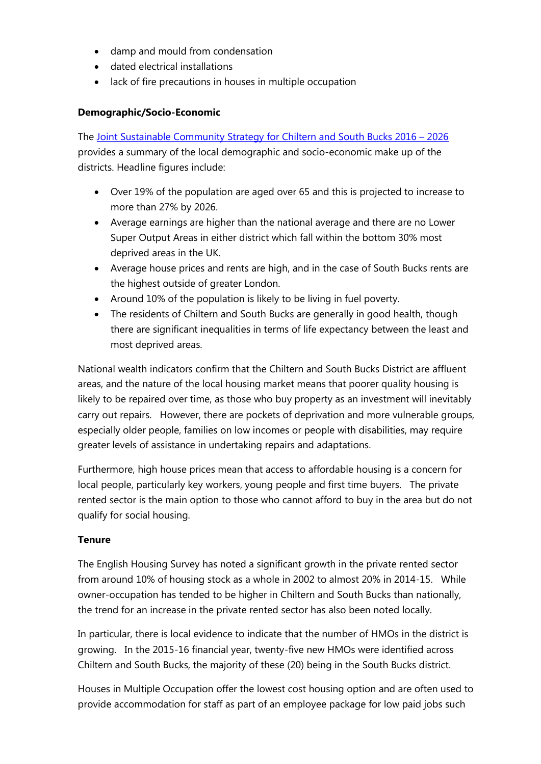- damp and mould from condensation
- dated electrical installations
- lack of fire precautions in houses in multiple occupation

#### **Demographic/Socio-Economic**

The [Joint Sustainable Community Strategy for Chiltern and South Bucks](http://www.chiltern.gov.uk/CHttpHandler.ashx?id=3250&p=0) 2016 – 2026 provides a summary of the local demographic and socio-economic make up of the districts. Headline figures include:

- Over 19% of the population are aged over 65 and this is projected to increase to more than 27% by 2026.
- Average earnings are higher than the national average and there are no Lower Super Output Areas in either district which fall within the bottom 30% most deprived areas in the UK.
- Average house prices and rents are high, and in the case of South Bucks rents are the highest outside of greater London.
- Around 10% of the population is likely to be living in fuel poverty.
- The residents of Chiltern and South Bucks are generally in good health, though there are significant inequalities in terms of life expectancy between the least and most deprived areas.

National wealth indicators confirm that the Chiltern and South Bucks District are affluent areas, and the nature of the local housing market means that poorer quality housing is likely to be repaired over time, as those who buy property as an investment will inevitably carry out repairs. However, there are pockets of deprivation and more vulnerable groups, especially older people, families on low incomes or people with disabilities, may require greater levels of assistance in undertaking repairs and adaptations.

Furthermore, high house prices mean that access to affordable housing is a concern for local people, particularly key workers, young people and first time buyers. The private rented sector is the main option to those who cannot afford to buy in the area but do not qualify for social housing.

#### **Tenure**

The English Housing Survey has noted a significant growth in the private rented sector from around 10% of housing stock as a whole in 2002 to almost 20% in 2014-15. While owner-occupation has tended to be higher in Chiltern and South Bucks than nationally, the trend for an increase in the private rented sector has also been noted locally.

In particular, there is local evidence to indicate that the number of HMOs in the district is growing. In the 2015-16 financial year, twenty-five new HMOs were identified across Chiltern and South Bucks, the majority of these (20) being in the South Bucks district.

Houses in Multiple Occupation offer the lowest cost housing option and are often used to provide accommodation for staff as part of an employee package for low paid jobs such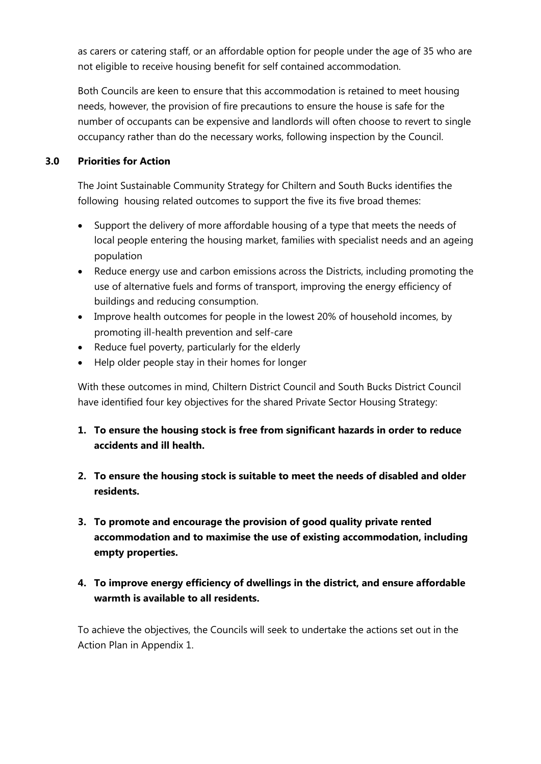as carers or catering staff, or an affordable option for people under the age of 35 who are not eligible to receive housing benefit for self contained accommodation.

Both Councils are keen to ensure that this accommodation is retained to meet housing needs, however, the provision of fire precautions to ensure the house is safe for the number of occupants can be expensive and landlords will often choose to revert to single occupancy rather than do the necessary works, following inspection by the Council.

#### **3.0 Priorities for Action**

The Joint Sustainable Community Strategy for Chiltern and South Bucks identifies the following housing related outcomes to support the five its five broad themes:

- Support the delivery of more affordable housing of a type that meets the needs of local people entering the housing market, families with specialist needs and an ageing population
- Reduce energy use and carbon emissions across the Districts, including promoting the use of alternative fuels and forms of transport, improving the energy efficiency of buildings and reducing consumption.
- Improve health outcomes for people in the lowest 20% of household incomes, by promoting ill-health prevention and self-care
- Reduce fuel poverty, particularly for the elderly
- Help older people stay in their homes for longer

With these outcomes in mind, Chiltern District Council and South Bucks District Council have identified four key objectives for the shared Private Sector Housing Strategy:

- **1. To ensure the housing stock is free from significant hazards in order to reduce accidents and ill health.**
- **2. To ensure the housing stock is suitable to meet the needs of disabled and older residents.**
- **3. To promote and encourage the provision of good quality private rented accommodation and to maximise the use of existing accommodation, including empty properties.**
- **4. To improve energy efficiency of dwellings in the district, and ensure affordable warmth is available to all residents.**

To achieve the objectives, the Councils will seek to undertake the actions set out in the Action Plan in Appendix 1.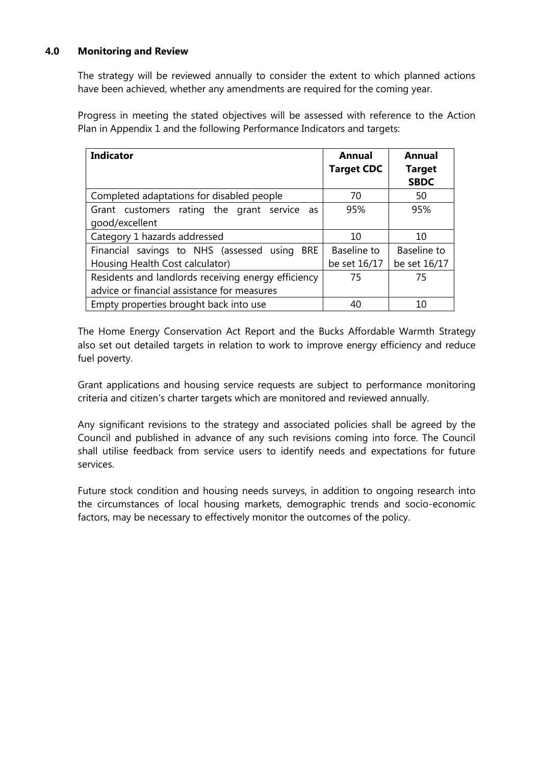#### **4.0 Monitoring and Review**

The strategy will be reviewed annually to consider the extent to which planned actions have been achieved, whether any amendments are required for the coming year.

Progress in meeting the stated objectives will be assessed with reference to the Action Plan in Appendix 1 and the following Performance Indicators and targets:

| <b>Indicator</b>                                    | Annual<br><b>Target CDC</b> | Annual<br><b>Target</b> |
|-----------------------------------------------------|-----------------------------|-------------------------|
|                                                     |                             | <b>SBDC</b>             |
| Completed adaptations for disabled people           | 70                          | 50                      |
| Grant customers rating the grant service<br>as      | 95%                         | 95%                     |
| good/excellent                                      |                             |                         |
| Category 1 hazards addressed                        | 10                          | 10                      |
| Financial savings to NHS (assessed using BRE        | Baseline to                 | Baseline to             |
| Housing Health Cost calculator)                     | be set 16/17                | be set 16/17            |
| Residents and landlords receiving energy efficiency | 75                          | 75                      |
| advice or financial assistance for measures         |                             |                         |
| Empty properties brought back into use              | 40                          | 10                      |

The Home Energy Conservation Act Report and the Bucks Affordable Warmth Strategy also set out detailed targets in relation to work to improve energy efficiency and reduce fuel poverty.

Grant applications and housing service requests are subject to performance monitoring criteria and citizen's charter targets which are monitored and reviewed annually.

Any significant revisions to the strategy and associated policies shall be agreed by the Council and published in advance of any such revisions coming into force. The Council shall utilise feedback from service users to identify needs and expectations for future services.

Future stock condition and housing needs surveys, in addition to ongoing research into the circumstances of local housing markets, demographic trends and socio-economic factors, may be necessary to effectively monitor the outcomes of the policy.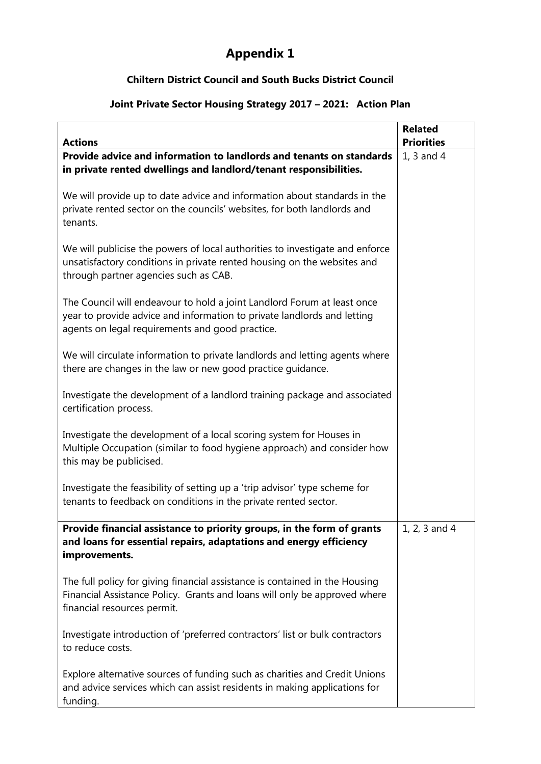## **Appendix 1**

### **Chiltern District Council and South Bucks District Council**

| <b>Actions</b>                                                                                                                                                                                        | <b>Related</b><br><b>Priorities</b> |
|-------------------------------------------------------------------------------------------------------------------------------------------------------------------------------------------------------|-------------------------------------|
| Provide advice and information to landlords and tenants on standards<br>in private rented dwellings and landlord/tenant responsibilities.                                                             | 1, 3 and 4                          |
| We will provide up to date advice and information about standards in the<br>private rented sector on the councils' websites, for both landlords and<br>tenants.                                       |                                     |
| We will publicise the powers of local authorities to investigate and enforce<br>unsatisfactory conditions in private rented housing on the websites and<br>through partner agencies such as CAB.      |                                     |
| The Council will endeavour to hold a joint Landlord Forum at least once<br>year to provide advice and information to private landlords and letting<br>agents on legal requirements and good practice. |                                     |
| We will circulate information to private landlords and letting agents where<br>there are changes in the law or new good practice guidance.                                                            |                                     |
| Investigate the development of a landlord training package and associated<br>certification process.                                                                                                   |                                     |
| Investigate the development of a local scoring system for Houses in<br>Multiple Occupation (similar to food hygiene approach) and consider how<br>this may be publicised.                             |                                     |
| Investigate the feasibility of setting up a 'trip advisor' type scheme for<br>tenants to feedback on conditions in the private rented sector.                                                         |                                     |
| Provide financial assistance to priority groups, in the form of grants<br>and loans for essential repairs, adaptations and energy efficiency<br>improvements.                                         | 1, 2, 3 and 4                       |
| The full policy for giving financial assistance is contained in the Housing<br>Financial Assistance Policy. Grants and loans will only be approved where<br>financial resources permit.               |                                     |
| Investigate introduction of 'preferred contractors' list or bulk contractors<br>to reduce costs.                                                                                                      |                                     |
| Explore alternative sources of funding such as charities and Credit Unions<br>and advice services which can assist residents in making applications for<br>funding.                                   |                                     |

### **Joint Private Sector Housing Strategy 2017 – 2021: Action Plan**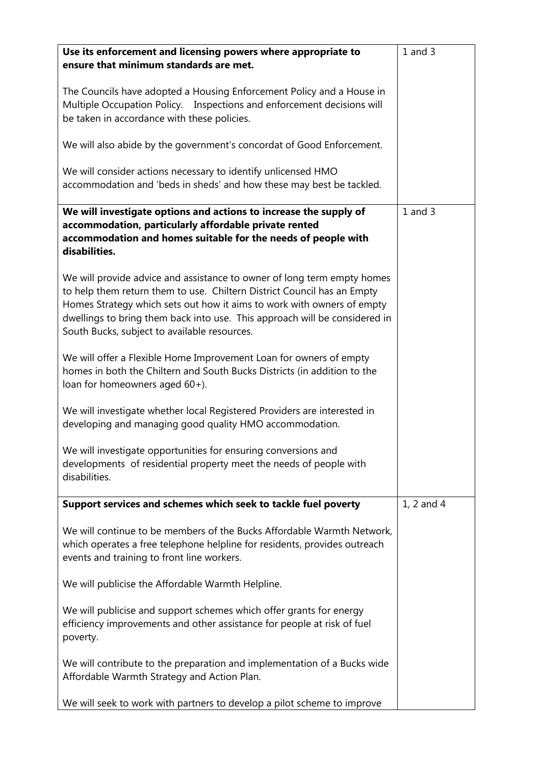| Use its enforcement and licensing powers where appropriate to                                                                                                                                                                                                                                                                                              | $1$ and $3$ |
|------------------------------------------------------------------------------------------------------------------------------------------------------------------------------------------------------------------------------------------------------------------------------------------------------------------------------------------------------------|-------------|
| ensure that minimum standards are met.                                                                                                                                                                                                                                                                                                                     |             |
| The Councils have adopted a Housing Enforcement Policy and a House in<br>Multiple Occupation Policy. Inspections and enforcement decisions will<br>be taken in accordance with these policies.                                                                                                                                                             |             |
| We will also abide by the government's concordat of Good Enforcement.                                                                                                                                                                                                                                                                                      |             |
| We will consider actions necessary to identify unlicensed HMO<br>accommodation and 'beds in sheds' and how these may best be tackled.                                                                                                                                                                                                                      |             |
| We will investigate options and actions to increase the supply of<br>accommodation, particularly affordable private rented<br>accommodation and homes suitable for the needs of people with<br>disabilities.                                                                                                                                               | $1$ and $3$ |
| We will provide advice and assistance to owner of long term empty homes<br>to help them return them to use. Chiltern District Council has an Empty<br>Homes Strategy which sets out how it aims to work with owners of empty<br>dwellings to bring them back into use. This approach will be considered in<br>South Bucks, subject to available resources. |             |
| We will offer a Flexible Home Improvement Loan for owners of empty<br>homes in both the Chiltern and South Bucks Districts (in addition to the<br>loan for homeowners aged 60+).                                                                                                                                                                           |             |
| We will investigate whether local Registered Providers are interested in<br>developing and managing good quality HMO accommodation.                                                                                                                                                                                                                        |             |
| We will investigate opportunities for ensuring conversions and<br>developments of residential property meet the needs of people with<br>disabilities.                                                                                                                                                                                                      |             |
| Support services and schemes which seek to tackle fuel poverty                                                                                                                                                                                                                                                                                             | 1, 2 and 4  |
| We will continue to be members of the Bucks Affordable Warmth Network,<br>which operates a free telephone helpline for residents, provides outreach<br>events and training to front line workers.                                                                                                                                                          |             |
| We will publicise the Affordable Warmth Helpline.                                                                                                                                                                                                                                                                                                          |             |
| We will publicise and support schemes which offer grants for energy<br>efficiency improvements and other assistance for people at risk of fuel<br>poverty.                                                                                                                                                                                                 |             |
| We will contribute to the preparation and implementation of a Bucks wide<br>Affordable Warmth Strategy and Action Plan.                                                                                                                                                                                                                                    |             |
| We will seek to work with partners to develop a pilot scheme to improve                                                                                                                                                                                                                                                                                    |             |